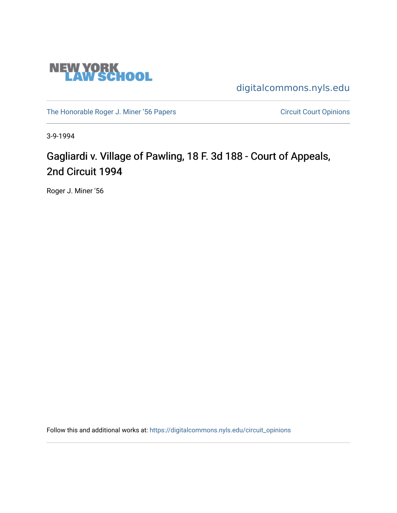

[digitalcommons.nyls.edu](https://digitalcommons.nyls.edu/) 

[The Honorable Roger J. Miner '56 Papers](https://digitalcommons.nyls.edu/miner_papers) Circuit Court Opinions

3-9-1994

# Gagliardi v. Village of Pawling, 18 F. 3d 188 - Court of Appeals, 2nd Circuit 1994

Roger J. Miner '56

Follow this and additional works at: [https://digitalcommons.nyls.edu/circuit\\_opinions](https://digitalcommons.nyls.edu/circuit_opinions?utm_source=digitalcommons.nyls.edu%2Fcircuit_opinions%2F408&utm_medium=PDF&utm_campaign=PDFCoverPages)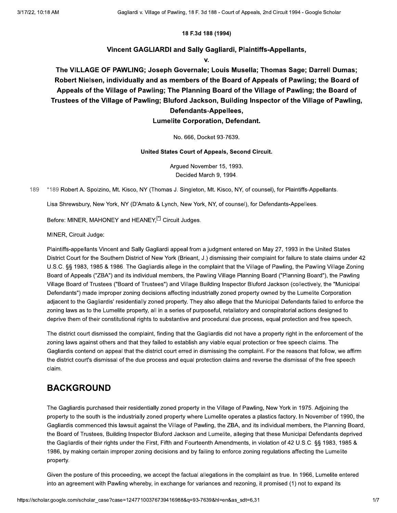### 18 F.3d 188 (1994)

### Vincent GAGLIARDI and Sally Gagliardi, Plaintiffs-Appellants,

v.

The VILLAGE OF PAWLING; Joseph Governale; Louis Musella; Thomas Sage; Darrell Dumas; Robert Nielsen, individually and as members of the Board of Appeals of Pawling; the Board of Appeals of the Village of Pawling; The Planning Board of the Village of Pawling; the Board of Trustees of the Village of Pawling; Bluford Jackson, Building Inspector of the Village of Pawling, Defendants-Appellees,

### **Lumelite Corporation, Defendant.**

No. 666, Docket 93-7639.

### United States Court of Appeals, Second Circuit.

Argued November 15, 1993. Decided March 9, 1994.

189 \*189 Robert A. Spolzino, Mt. Kisco, NY (Thomas J. Singleton, Mt. Kisco, NY, of counsel), for Plaintiffs-Appellants.

Lisa Shrewsbury, New York, NY (D'Amato & Lynch, New York, NY, of counsel), for Defendants-Appellees.

Before: MINER, MAHONEY and HEANEY,[1] Circuit Judges.

MINER, Circuit Judge:

Plaintiffs-appellants Vincent and Sally Gagliardi appeal from a judgment entered on May 27, 1993 in the United States District Court for the Southern District of New York (Brieant, J.) dismissing their complaint for failure to state claims under 42 U.S.C. §§ 1983, 1985 & 1986. The Gagliardis allege in the complaint that the Village of Pawling, the Pawling Village Zoning Board of Appeals ("ZBA") and its individual members, the Pawling Village Planning Board ("Planning Board"), the Pawling Village Board of Trustees ("Board of Trustees") and Village Building Inspector Bluford Jackson (collectively, the "Municipal Defendants") made improper zoning decisions affecting industrially zoned property owned by the Lumelite Corporation adjacent to the Gagliardis' residentially zoned property. They also allege that the Municipal Defendants failed to enforce the zoning laws as to the Lumelite property, all in a series of purposeful, retaliatory and conspiratorial actions designed to deprive them of their constitutional rights to substantive and procedural due process, equal protection and free speech.

The district court dismissed the complaint, finding that the Gagliardis did not have a property right in the enforcement of the zoning laws against others and that they failed to establish any viable equal protection or free speech claims. The Gagliardis contend on appeal that the district court erred in dismissing the complaint. For the reasons that follow, we affirm the district court's dismissal of the due process and equal protection claims and reverse the dismissal of the free speech claim.

### **BACKGROUND**

The Gagliardis purchased their residentially zoned property in the Village of Pawling, New York in 1975. Adjoining the property to the south is the industrially zoned property where Lumelite operates a plastics factory. In November of 1990, the Gagliardis commenced this lawsuit against the Village of Pawling, the ZBA, and its individual members, the Planning Board, the Board of Trustees, Building Inspector Bluford Jackson and Lumelite, alleging that these Municipal Defendants deprived the Gagliardis of their rights under the First, Fifth and Fourteenth Amendments, in violation of 42 U.S.C. §§ 1983, 1985 & 1986, by making certain improper zoning decisions and by failing to enforce zoning regulations affecting the Lumelite property.

Given the posture of this proceeding, we accept the factual allegations in the complaint as true. In 1966, Lumelite entered into an agreement with Pawling whereby, in exchange for variances and rezoning, it promised (1) not to expand its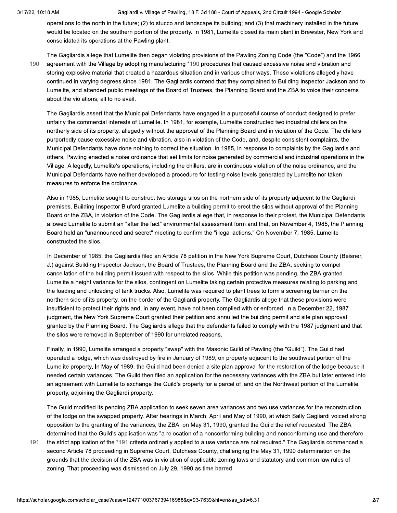Gagliardi v. Village of Pawling, 18 F. 3d 188 - Court of Appeals, 2nd Circuit 1994 - Google Scholar

operations to the north in the future; (2) to stucco and landscape its building; and (3) that machinery installed in the future would be located on the southern portion of the property. In 1981, Lumelite closed its main plant in Brewster, New York and consolidated its operations at the Pawling plant.

190

The Gagliardis allege that Lumelite then began violating provisions of the Pawling Zoning Code (the "Code") and the 1966 agreement with the Village by adopting manufacturing \*190 procedures that caused excessive noise and vibration and storing explosive material that created a hazardous situation and in various other ways. These violations allegedly have continued in varying degrees since 1981. The Gagliardis contend that they complained to Building Inspector Jackson and to Lumelite, and attended public meetings of the Board of Trustees, the Planning Board and the ZBA to voice their concerns about the violations, all to no avail.

The Gagliardis assert that the Municipal Defendants have engaged in a purposeful course of conduct designed to prefer unfairly the commercial interests of Lumelite. In 1981, for example, Lumelite constructed two industrial chillers on the northerly side of its property, allegedly without the approval of the Planning Board and in violation of the Code. The chillers purportedly cause excessive noise and vibration, also in violation of the Code, and, despite consistent complaints, the Municipal Defendants have done nothing to correct the situation. In 1985, in response to complaints by the Gagliardis and others, Pawling enacted a noise ordinance that set limits for noise generated by commercial and industrial operations in the Village. Allegedly, Lumelite's operations, including the chillers, are in continuous violation of the noise ordinance, and the Municipal Defendants have neither developed a procedure for testing noise levels generated by Lumelite nor taken measures to enforce the ordinance.

Also in 1985, Lumelite sought to construct two storage silos on the northern side of its property adjacent to the Gagliardi premises. Building Inspector Bluford granted Lumelite a building permit to erect the silos without approval of the Planning Board or the ZBA, in violation of the Code. The Gagliardis allege that, in response to their protest, the Municipal Defendants allowed Lumelite to submit an "after the fact" environmental assessment form and that, on November 4, 1985, the Planning Board held an "unannounced and secret" meeting to confirm the "illegal actions." On November 7, 1985, Lumelite constructed the silos.

In December of 1985, the Gagliardis filed an Article 78 petition in the New York Supreme Court, Dutchess County (Beisner, J.) against Building Inspector Jackson, the Board of Trustees, the Planning Board and the ZBA, seeking to compel cancellation of the building permit issued with respect to the silos. While this petition was pending, the ZBA granted Lumelite a height variance for the silos, contingent on Lumelite taking certain protective measures relating to parking and the loading and unloading of tank trucks. Also, Lumelite was required to plant trees to form a screening barrier on the northern side of its property, on the border of the Gagliardi property. The Gagliardis allege that these provisions were insufficient to protect their rights and, in any event, have not been complied with or enforced. In a December 22, 1987 judgment, the New York Supreme Court granted their petition and annulled the building permit and site plan approval granted by the Planning Board. The Gagliardis allege that the defendants failed to comply with the 1987 judgment and that the silos were removed in September of 1990 for unrelated reasons.

Finally, in 1990, Lumelite arranged a property "swap" with the Masonic Guild of Pawling (the "Guild"). The Guild had operated a lodge, which was destroved by fire in January of 1989, on property adiacent to the southwest portion of the Lumelite property. In May of 1989, the Guild had been denied a site plan approval for the restoration of the lodge because it needed certain variances. The Guild then filed an application for the necessary variances with the ZBA but later entered into an agreement with Lumelite to exchange the Guild's property for a parcel of land on the Northwest portion of the Lumelite property, adjoining the Gagliardi property.

The Guild modified its pending ZBA application to seek seven area variances and two use variances for the reconstruction of the lodge on the swapped property. After hearings in March, April and May of 1990, at which Sally Gagliardi voiced strong opposition to the granting of the variances, the ZBA, on May 31, 1990, granted the Guild the relief requested. The ZBA determined that the Guild's application was "a relocation of a nonconforming building and nonconforming use and therefore

the strict application of the \*191 criteria ordinarily applied to a use variance are not required." The Gagliardis commenced a 191 second Article 78 proceeding in Supreme Court, Dutchess County, challenging the May 31, 1990 determination on the grounds that the decision of the ZBA was in violation of applicable zoning laws and statutory and common law rules of zoning. That proceeding was dismissed on July 29, 1990 as time barred.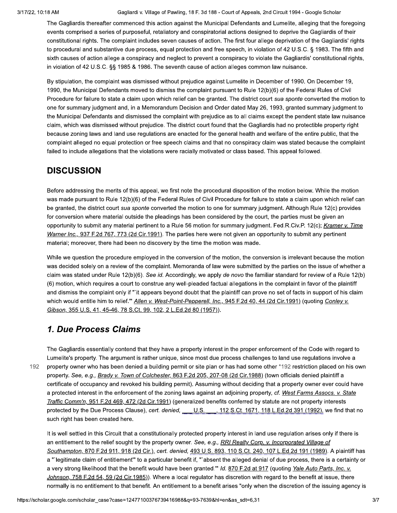Gagliardi v. Village of Pawling, 18 F. 3d 188 - Court of Appeals, 2nd Circuit 1994 - Google Scholar

The Gagliardis thereafter commenced this action against the Municipal Defendants and Lumelite, alleging that the foregoing events comprised a series of purposeful, retaliatory and conspiratorial actions designed to deprive the Gagliardis of their constitutional rights. The complaint includes seven causes of action. The first four allege deprivation of the Gagliardis' rights to procedural and substantive due process, equal protection and free speech, in violation of 42 U.S.C. § 1983. The fifth and sixth causes of action allege a conspiracy and neglect to prevent a conspiracy to violate the Gagliardis' constitutional rights, in violation of 42 U.S.C. §§ 1985 & 1986. The seventh cause of action alleges common law nuisance.

By stipulation, the complaint was dismissed without prejudice against Lumelite in December of 1990. On December 19, 1990, the Municipal Defendants moved to dismiss the complaint pursuant to Rule 12(b)(6) of the Federal Rules of Civil Procedure for failure to state a claim upon which relief can be granted. The district court sua sponte converted the motion to one for summary judgment and, in a Memorandum Decision and Order dated May 26, 1993, granted summary judgment to the Municipal Defendants and dismissed the complaint with prejudice as to all claims except the pendent state law nuisance claim, which was dismissed without prejudice. The district court found that the Gagliardis had no protectible property right because zoning laws and land use regulations are enacted for the general health and welfare of the entire public, that the complaint alleged no equal protection or free speech claims and that no conspiracy claim was stated because the complaint failed to include allegations that the violations were racially motivated or class based. This appeal followed.

# **DISCUSSION**

Before addressing the merits of this appeal, we first note the procedural disposition of the motion below. While the motion was made pursuant to Rule 12(b)(6) of the Federal Rules of Civil Procedure for failure to state a claim upon which relief can be granted, the district court sua sponte converted the motion to one for summary judgment. Although Rule 12(c) provides for conversion where material outside the pleadings has been considered by the court, the parties must be given an opportunity to submit any material pertinent to a Rule 56 motion for summary judgment. Fed.R.Civ.P. 12(c); Kramer v. Time Warner Inc., 937 F.2d 767, 773 (2d Cir.1991). The parties here were not given an opportunity to submit any pertinent material; moreover, there had been no discovery by the time the motion was made.

While we question the procedure employed in the conversion of the motion, the conversion is irrelevant because the motion was decided solely on a review of the complaint. Memoranda of law were submitted by the parties on the issue of whether a claim was stated under Rule 12(b)(6). See id. Accordingly, we apply de novo the familiar standard for review of a Rule 12(b) (6) motion, which requires a court to construe any well-pleaded factual allegations in the complaint in favor of the plaintiff and dismiss the complaint only if "`it appears beyond doubt that the plaintiff can prove no set of facts in support of his claim which would entitle him to relief." Allen v. West-Point-Pepperell, Inc., 945 F.2d 40, 44 (2d Cir.1991) (quoting Conley v. Gibson, 355 U.S. 41, 45-46, 78 S.Ct. 99, 102, 2 L.Ed.2d 80 (1957)).

# 1. Due Process Claims

192

The Gagliardis essentially contend that they have a property interest in the proper enforcement of the Code with regard to Lumelite's property. The argument is rather unique, since most due process challenges to land use regulations involve a property owner who has been denied a building permit or site plan or has had some other \*192 restriction placed on his own property. See, e.g., Brady v. Town of Colchester, 863 F.2d 205, 207-08 (2d Cir.1988) (town officials denied plaintiff a certificate of occupancy and revoked his building permit). Assuming without deciding that a property owner ever could have a protected interest in the enforcement of the zoning laws against an adjoining property, cf. West Farms Assocs. v. State Traffic Comm'n, 951 F.2d 469, 472 (2d Cir.1991) (generalized benefits conferred by statute are not property interests protected by the Due Process Clause), cert. denied, U.S., 112 S.Ct. 1671, 118 L.Ed.2d 391 (1992), we find that no such right has been created here.

It is well settled in this Circuit that a constitutionally protected property interest in land use regulation arises only if there is an entitlement to the relief sought by the property owner. See, e.g., RRI Realty Corp. v. Incorporated Village of Southampton, 870 F.2d 911, 918 (2d Cir.), cert. denied, 493 U.S. 893, 110 S.Ct. 240, 107 L.Ed.2d 191 (1989). A plaintiff has a "legitimate claim of entitlement" to a particular benefit if, "absent the alleged denial of due process, there is a certainty or a very strong likelihood that the benefit would have been granted." Id. 870 F.2d at 917 (quoting Yale Auto Parts, Inc. v. Johnson, 758 F.2d 54, 59 (2d Cir.1985)). Where a local regulator has discretion with regard to the benefit at issue, there normally is no entitlement to that benefit. An entitlement to a benefit arises "only when the discretion of the issuing agency is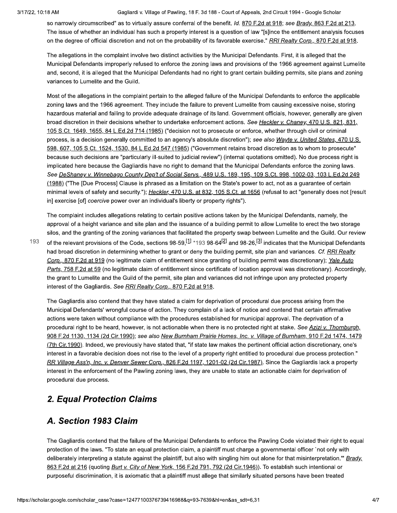#### Gagliardi v. Village of Pawling, 18 F. 3d 188 - Court of Appeals, 2nd Circuit 1994 - Google Scholar

so narrowly circumscribed" as to virtually assure conferral of the benefit. Id. 870 F.2d at 918; see Brady, 863 F.2d at 213. The issue of whether an individual has such a property interest is a question of law "[s]ince the entitlement analysis focuses on the degree of official discretion and not on the probability of its favorable exercise." RRI Realty Corp., 870 F.2d at 918.

The allegations in the complaint involve two distinct activities by the Municipal Defendants. First, it is alleged that the Municipal Defendants improperly refused to enforce the zoning laws and provisions of the 1966 agreement against Lumelite and, second, it is alleged that the Municipal Defendants had no right to grant certain building permits, site plans and zoning variances to Lumelite and the Guild.

Most of the allegations in the complaint pertain to the alleged failure of the Municipal Defendants to enforce the applicable zoning laws and the 1966 agreement. They include the failure to prevent Lumelite from causing excessive noise, storing hazardous material and failing to provide adequate drainage of its land. Government officials, however, generally are given broad discretion in their decisions whether to undertake enforcement actions. See Heckler v. Chaney, 470 U.S. 821, 831, 105 S.Ct. 1649, 1655, 84 L.Ed.2d 714 (1985) ("decision not to prosecute or enforce, whether through civil or criminal process, is a decision generally committed to an agency's absolute discretion"); see also Wayte v. United States, 470 U.S. 598, 607, 105 S.Ct. 1524, 1530, 84 L.Ed.2d 547 (1985) ("Government retains broad discretion as to whom to prosecute" because such decisions are "particularly ill-suited to judicial review") (internal quotations omitted). No due process right is implicated here because the Gagliardis have no right to demand that the Municipal Defendants enforce the zoning laws. See DeShaney v. Winnebago County Dep't of Social Servs., 489 U.S. 189, 195, 109 S.Ct. 998, 1002-03, 103 L.Ed.2d 249 (1988) ("The [Due Process] Clause is phrased as a limitation on the State's power to act, not as a quarantee of certain minimal levels of safety and security."); Heckler, 470 U.S. at 832, 105 S.Ct. at 1656 (refusal to act "generally does not [result in] exercise [of] coercive power over an individual's liberty or property rights").

The complaint includes allegations relating to certain positive actions taken by the Municipal Defendants, namely, the approval of a height variance and site plan and the issuance of a building permit to allow Lumelite to erect the two storage silos, and the granting of the zoning variances that facilitated the property swap between Lumelite and the Guild. Our review

193 of the relevant provisions of the Code, sections 98-59,  $[1]$  \*193 98-64<sup>[2]</sup> and 98-26, <sup>[3]</sup> indicates that the Municipal Defendants had broad discretion in determining whether to grant or deny the building permit, site plan and variances. Cf. RRI Realty Corp., 870 F.2d at 919 (no legitimate claim of entitlement since granting of building permit was discretionary); Yale Auto Parts, 758 F.2d at 59 (no legitimate claim of entitlement since certificate of location approval was discretionary). Accordingly, the grant to Lumelite and the Guild of the permit, site plan and variances did not infringe upon any protected property interest of the Gagliardis. See RRI Realty Corp., 870 F.2d at 918.

The Gagliardis also contend that they have stated a claim for deprivation of procedural due process arising from the Municipal Defendants' wrongful course of action. They complain of a lack of notice and contend that certain affirmative actions were taken without compliance with the procedures established for municipal approval. The deprivation of a procedural right to be heard, however, is not actionable when there is no protected right at stake. See Azizi v. Thornburgh, 908 F.2d 1130, 1134 (2d Cir.1990); see also New Burnham Prairie Homes, Inc. v. Village of Burnham, 910 F.2d 1474, 1479 (7th Cir.1990). Indeed, we previously have stated that, "if state law makes the pertinent official action discretionary, one's interest in a favorable decision does not rise to the level of a property right entitled to procedural due process protection." RR Village Ass'n, Inc. v. Denver Sewer Corp., 826 F.2d 1197, 1201-02 (2d Cir.1987). Since the Gagliardis lack a property interest in the enforcement of the Pawling zoning laws, they are unable to state an actionable claim for deprivation of procedural due process.

# **2. Equal Protection Claims**

# A. Section 1983 Claim

The Gagliardis contend that the failure of the Municipal Defendants to enforce the Pawling Code violated their right to equal protection of the laws. "To state an equal protection claim, a plaintiff must charge a governmental officer `not only with deliberately interpreting a statute against the plaintiff, but also with singling him out alone for that misinterpretation." Brady, 863 F.2d at 216 (quoting Burt v. City of New York, 156 F.2d 791, 792 (2d Cir.1946)). To establish such intentional or purposeful discrimination, it is axiomatic that a plaintiff must allege that similarly situated persons have been treated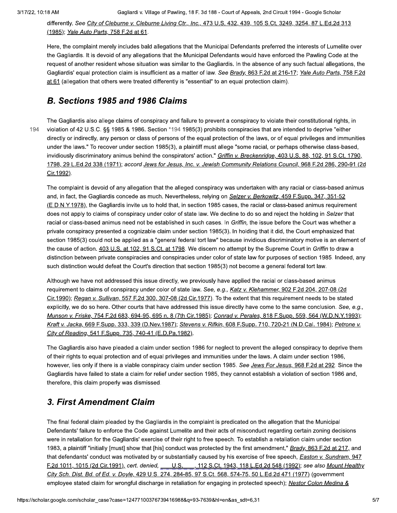differently. See City of Cleburne v. Cleburne Living Ctr., Inc., 473 U.S. 432, 439, 105 S.Ct. 3249, 3254, 87 L.Ed.2d 313 (1985); Yale Auto Parts, 758 F.2d at 61.

Here, the complaint merely includes bald allegations that the Municipal Defendants preferred the interests of Lumelite over the Gagliardis. It is devoid of any allegations that the Municipal Defendants would have enforced the Pawling Code at the request of another resident whose situation was similar to the Gagliardis. In the absence of any such factual allegations, the Gagliardis' equal protection claim is insufficient as a matter of law. See Brady, 863 F.2d at 216-17; Yale Auto Parts, 758 F.2d at 61 (allegation that others were treated differently is "essential" to an equal protection claim).

# B. Sections 1985 and 1986 Claims

The Gagliardis also allege claims of conspiracy and failure to prevent a conspiracy to violate their constitutional rights, in 194 violation of 42 U.S.C. §§ 1985 & 1986. Section \*194 1985(3) prohibits conspiracies that are intended to deprive "either directly or indirectly, any person or class of persons of the equal protection of the laws, or of equal privileges and immunities under the laws." To recover under section 1985(3), a plaintiff must allege "some racial, or perhaps otherwise class-based, invidiously discriminatory animus behind the conspirators' action." Griffin v. Breckenridge, 403 U.S. 88, 102, 91 S.Ct. 1790, 1798, 29 L.Ed.2d 338 (1971); accord Jews for Jesus, Inc. v. Jewish Community Relations Council, 968 F.2d 286, 290-91 (2d Cir.1992).

The complaint is devoid of any allegation that the alleged conspiracy was undertaken with any racial or class-based animus and, in fact, the Gagliardis concede as much. Nevertheless, relying on Selzer v. Berkowitz, 459 F.Supp. 347, 351-52 (E.D.N.Y.1978), the Gagliardis invite us to hold that, in section 1985 cases, the racial or class-based animus requirement does not apply to claims of conspiracy under color of state law. We decline to do so and reject the holding in Selzer that racial or class-based animus need not be established in such cases. In Griffin, the issue before the Court was whether a private conspiracy presented a cognizable claim under section 1985(3). In holding that it did, the Court emphasized that section 1985(3) could not be applied as a "general federal tort law" because invidious discriminatory motive is an element of the cause of action. 403 U.S. at 102, 91 S.Ct. at 1798. We discern no attempt by the Supreme Court in Griffin to draw a distinction between private conspiracies and conspiracies under color of state law for purposes of section 1985. Indeed, any such distinction would defeat the Court's direction that section 1985(3) not become a general federal tort law.

Although we have not addressed this issue directly, we previously have applied the racial or class-based animus requirement to claims of conspiracy under color of state law. See, e.g., Katz v. Klehammer, 902 F.2d 204, 207-08 (2d Cir.1990); Regan v. Sullivan, 557 F.2d 300, 307-08 (2d Cir.1977). To the extent that this requirement needs to be stated explicitly, we do so here. Other courts that have addressed this issue directly have come to the same conclusion. See, e.g., Munson v. Friske, 754 F.2d 683, 694-95, 695 n. 8 (7th Cir.1985); Conrad v. Perales, 818 F.Supp. 559, 564 (W.D.N.Y.1993); Kraft v. Jacka, 669 F.Supp. 333, 339 (D.Nev.1987); Stevens v. Rifkin, 608 F.Supp. 710, 720-21 (N.D.Cal. 1984); Petrone v. City of Reading, 541 F.Supp. 735, 740-41 (E.D.Pa.1982).

The Gagliardis also have pleaded a claim under section 1986 for neglect to prevent the alleged conspiracy to deprive them of their rights to equal protection and of equal privileges and immunities under the laws. A claim under section 1986, however, lies only if there is a viable conspiracy claim under section 1985. See Jews For Jesus, 968 F.2d at 292. Since the Gagliardis have failed to state a claim for relief under section 1985, they cannot establish a violation of section 1986 and, therefore, this claim properly was dismissed.

# 3. First Amendment Claim

The final federal claim pleaded by the Gagliardis in the complaint is predicated on the allegation that the Municipal Defendants' failure to enforce the Code against Lumelite and their acts of misconduct regarding certain zoning decisions were in retaliation for the Gagliardis' exercise of their right to free speech. To establish a retaliation claim under section 1983, a plaintiff "initially [must] show that [his] conduct was protected by the first amendment," Brady, 863 F.2d at 217, and that defendants' conduct was motivated by or substantially caused by his exercise of free speech, *Easton v. Sundram*, 947 F.2d 1011, 1015 (2d Cir.1991), cert. denied, \_\_\_ U.S. \_\_\_, 112 S.Ct. 1943, 118 L.Ed.2d 548 (1992); see also Mount Healthy City Sch. Dist. Bd. of Ed. v. Doyle, 429 U.S. 274, 284-85, 97 S.Ct. 568, 574-75, 50 L.Ed.2d 471 (1977) (government employee stated claim for wrongful discharge in retaliation for engaging in protected speech); Nestor Colon Medina &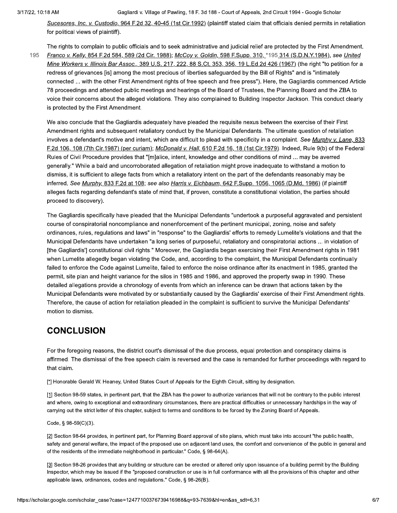Sucesores, Inc. v. Custodio, 964 F.2d 32, 40-45 (1st Cir.1992) (plaintiff stated claim that officials denied permits in retaliation for political views of plaintiff).

The rights to complain to public officials and to seek administrative and judicial relief are protected by the First Amendment.

195 Franco v. Kelly, 854 F.2d 584, 589 (2d Cir. 1988); McCoy v. Goldin, 598 F.Supp. 310, \*195 314 (S.D.N.Y.1984), see United Mine Workers v. Illinois Bar Assoc., 389 U.S. 217, 222, 88 S.Ct. 353, 356, 19 L.Ed.2d 426 (1967) (the right "to petition for a redress of grievances [is] among the most precious of liberties safeguarded by the Bill of Rights" and is "intimately connected ... with the other First Amendment rights of free speech and free press"). Here, the Gagliardis commenced Article 78 proceedings and attended public meetings and hearings of the Board of Trustees, the Planning Board and the ZBA to voice their concerns about the alleged violations. They also complained to Building Inspector Jackson. This conduct clearly is protected by the First Amendment.

We also conclude that the Gagliardis adequately have pleaded the requisite nexus between the exercise of their First Amendment rights and subsequent retaliatory conduct by the Municipal Defendants. The ultimate question of retaliation involves a defendant's motive and intent, which are difficult to plead with specificity in a complaint. See Murphy v. Lane, 833 F.2d 106, 108 (7th Cir.1987) (per curiam); McDonald v. Hall, 610 F.2d 16, 18 (1st Cir.1979). Indeed, Rule 9(b) of the Federal Rules of Civil Procedure provides that "[m]alice, intent, knowledge and other conditions of mind ... may be averred generally." While a bald and uncorroborated allegation of retaliation might prove inadequate to withstand a motion to dismiss, it is sufficient to allege facts from which a retaliatory intent on the part of the defendants reasonably may be inferred. See Murphy, 833 F.2d at 108; see also Harris v. Eichbaum, 642 F.Supp. 1056, 1065 (D.Md. 1986) (if plaintiff alleges facts regarding defendant's state of mind that, if proven, constitute a constitutional violation, the parties should proceed to discovery).

The Gagliardis specifically have pleaded that the Municipal Defendants "undertook a purposeful aggravated and persistent course of conspiratorial noncompliance and nonenforcement of the pertinent municipal, zoning, noise and safety ordinances, rules, regulations and laws" in "response" to the Gagliardis' efforts to remedy Lumelite's violations and that the Municipal Defendants have undertaken "a long series of purposeful, retaliatory and conspiratorial actions ... in violation of [the Gagliardis] constitutional civil rights." Moreover, the Gagliardis began exercising their First Amendment rights in 1981 when Lumelite allegedly began violating the Code, and, according to the complaint, the Municipal Defendants continually failed to enforce the Code against Lumelite, failed to enforce the noise ordinance after its enactment in 1985, granted the permit, site plan and height variance for the silos in 1985 and 1986, and approved the property swap in 1990. These detailed allegations provide a chronology of events from which an inference can be drawn that actions taken by the Municipal Defendants were motivated by or substantially caused by the Gagliardis' exercise of their First Amendment rights. Therefore, the cause of action for retaliation pleaded in the complaint is sufficient to survive the Municipal Defendants' motion to dismiss.

# **CONCLUSION**

For the foregoing reasons, the district court's dismissal of the due process, equal protection and conspiracy claims is affirmed. The dismissal of the free speech claim is reversed and the case is remanded for further proceedings with regard to that claim.

[\*] Honorable Gerald W. Heaney, United States Court of Appeals for the Eighth Circuit, sitting by designation.

[1] Section 98-59 states, in pertinent part, that the ZBA has the power to authorize variances that will not be contrary to the public interest and where, owing to exceptional and extraordinary circumstances, there are practical difficulties or unnecessary hardships in the way of carrying out the strict letter of this chapter, subject to terms and conditions to be forced by the Zoning Board of Appeals.

Code, § 98-59(C)(3).

[2] Section 98-64 provides, in pertinent part, for Planning Board approval of site plans, which must take into account "the public health, safety and general welfare, the impact of the proposed use on adjacent land uses, the comfort and convenience of the public in general and of the residents of the immediate neighborhood in particular." Code, § 98-64(A).

[3] Section 98-26 provides that any building or structure can be erected or altered only upon issuance of a building permit by the Building Inspector, which may be issued if the "proposed construction or use is in full conformance with all the provisions of this chapter and other applicable laws, ordinances, codes and regulations." Code, § 98-26(B).